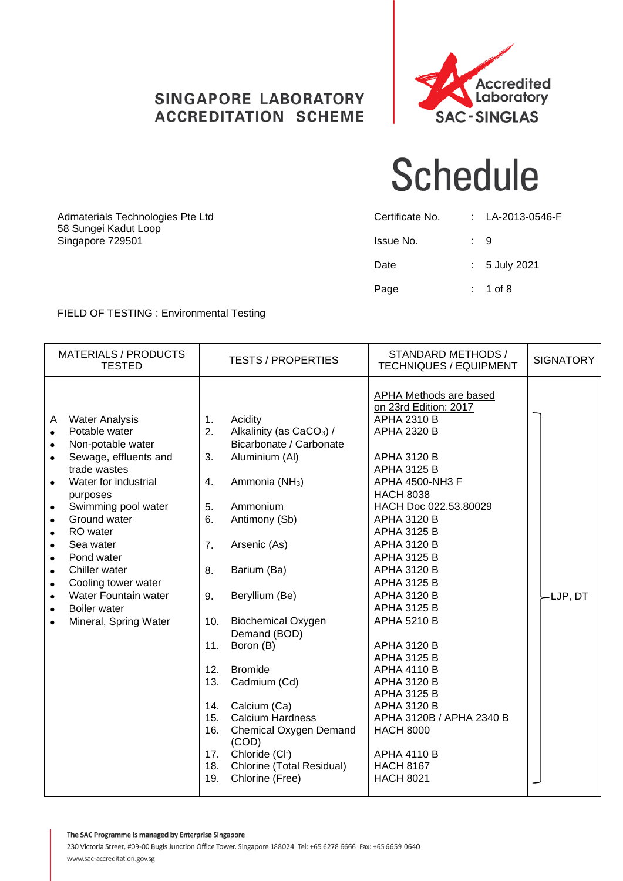#### **SINGAPORE LABORATORY ACCREDITATION SCHEME**



#### **Schedule**

| Admaterials Technologies Pte Ltd<br>58 Sungei Kadut Loop | Certificate No. | : LA-2013-0546-F         |
|----------------------------------------------------------|-----------------|--------------------------|
| Singapore 729501                                         | Issue No.       | $\therefore$ 9           |
|                                                          | Date            | $\therefore$ 5 July 2021 |
|                                                          | Page            | $: 1$ of 8               |

#### FIELD OF TESTING : Environmental Testing

| <b>MATERIALS / PRODUCTS</b><br><b>TESTED</b>                                                                                                                                                                                                                                                                                                                                                                                                                                                                               | <b>TESTS / PROPERTIES</b>                                                                                                                                                                                                                                                                                                                                                                                                                                                                                                                                                                                 | STANDARD METHODS /<br><b>TECHNIQUES / EQUIPMENT</b>                                                                                                                                                                                                                                                                                                                                                                                                                                                                                                                                                                   | <b>SIGNATORY</b>                 |
|----------------------------------------------------------------------------------------------------------------------------------------------------------------------------------------------------------------------------------------------------------------------------------------------------------------------------------------------------------------------------------------------------------------------------------------------------------------------------------------------------------------------------|-----------------------------------------------------------------------------------------------------------------------------------------------------------------------------------------------------------------------------------------------------------------------------------------------------------------------------------------------------------------------------------------------------------------------------------------------------------------------------------------------------------------------------------------------------------------------------------------------------------|-----------------------------------------------------------------------------------------------------------------------------------------------------------------------------------------------------------------------------------------------------------------------------------------------------------------------------------------------------------------------------------------------------------------------------------------------------------------------------------------------------------------------------------------------------------------------------------------------------------------------|----------------------------------|
| <b>Water Analysis</b><br>A<br>Potable water<br>$\bullet$<br>Non-potable water<br>$\bullet$<br>Sewage, effluents and<br>$\bullet$<br>trade wastes<br>Water for industrial<br>$\bullet$<br>purposes<br>Swimming pool water<br>$\bullet$<br>Ground water<br>$\bullet$<br>RO water<br>$\bullet$<br>Sea water<br>$\bullet$<br>Pond water<br>$\bullet$<br>Chiller water<br>$\bullet$<br>Cooling tower water<br>$\bullet$<br>Water Fountain water<br>$\bullet$<br>Boiler water<br>$\bullet$<br>Mineral, Spring Water<br>$\bullet$ | Acidity<br>$\mathbf{1}$ .<br>2.<br>Alkalinity (as CaCO <sub>3</sub> ) /<br>Bicarbonate / Carbonate<br>Aluminium (Al)<br>3.<br>4.<br>Ammonia (NH <sub>3</sub> )<br>5.<br>Ammonium<br>6.<br>Antimony (Sb)<br>7.<br>Arsenic (As)<br>Barium (Ba)<br>8.<br>Beryllium (Be)<br>9.<br><b>Biochemical Oxygen</b><br>10.<br>Demand (BOD)<br>11.<br>Boron (B)<br>12.<br><b>Bromide</b><br>13.<br>Cadmium (Cd)<br>Calcium (Ca)<br>14.<br><b>Calcium Hardness</b><br>15.<br>16.<br>Chemical Oxygen Demand<br>(COD)<br>Chloride (Cl <sup>-</sup> )<br>17.<br>Chlorine (Total Residual)<br>18.<br>Chlorine (Free)<br>19. | APHA Methods are based<br>on 23rd Edition: 2017<br><b>APHA 2310 B</b><br>APHA 2320 B<br><b>APHA 3120 B</b><br><b>APHA 3125 B</b><br>APHA 4500-NH3 F<br><b>HACH 8038</b><br>HACH Doc 022.53.80029<br><b>APHA 3120 B</b><br><b>APHA 3125 B</b><br>APHA 3120 B<br><b>APHA 3125 B</b><br>APHA 3120 B<br><b>APHA 3125 B</b><br>APHA 3120 B<br><b>APHA 3125 B</b><br>APHA 5210 B<br>APHA 3120 B<br><b>APHA 3125 B</b><br><b>APHA 4110 B</b><br><b>APHA 3120 B</b><br><b>APHA 3125 B</b><br><b>APHA 3120 B</b><br>APHA 3120B / APHA 2340 B<br><b>HACH 8000</b><br><b>APHA 4110 B</b><br><b>HACH 8167</b><br><b>HACH 8021</b> | $\overline{\phantom{a}}$ LJP, DT |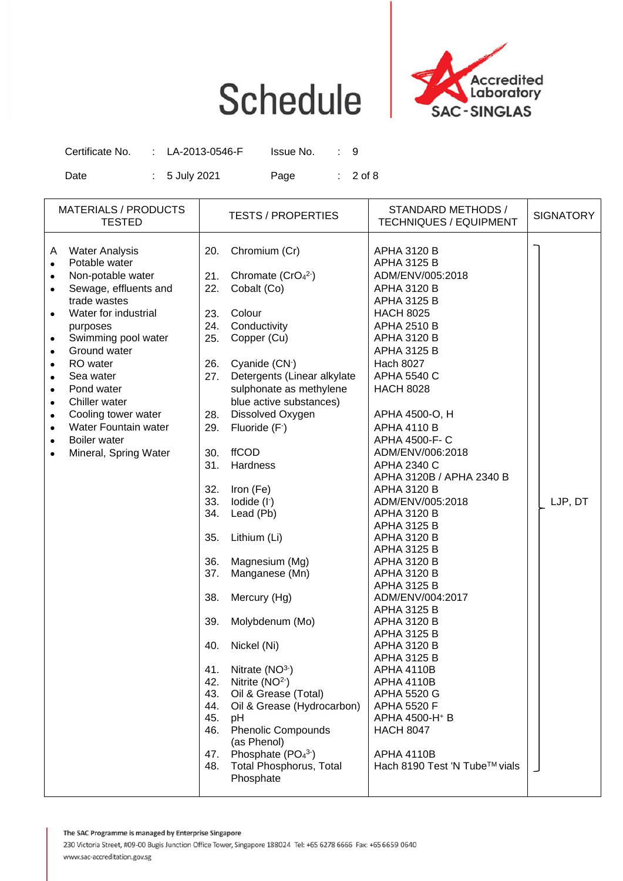

| Certificate No. | : LA-2013-0546-F | Issue No. |            |
|-----------------|------------------|-----------|------------|
| Date            | $: 5$ July 2021  | Page      | $: 2$ of 8 |

| <b>MATERIALS / PRODUCTS</b><br><b>TESTED</b>                                                                                                                                                                                                                                                                                                                                                                                                                                                                  |                                                                                                                                                                                                         | <b>TESTS / PROPERTIES</b>                                                                                                                                                                                                                                                                                                                                                                                                                                                                                                                                                                                                                             | STANDARD METHODS /<br><b>TECHNIQUES / EQUIPMENT</b>                                                                                                                                                                                                                                                                                                                                                                                                                                                                                                                                                                                                                                                                                                                                                                                                                                    | <b>SIGNATORY</b> |
|---------------------------------------------------------------------------------------------------------------------------------------------------------------------------------------------------------------------------------------------------------------------------------------------------------------------------------------------------------------------------------------------------------------------------------------------------------------------------------------------------------------|---------------------------------------------------------------------------------------------------------------------------------------------------------------------------------------------------------|-------------------------------------------------------------------------------------------------------------------------------------------------------------------------------------------------------------------------------------------------------------------------------------------------------------------------------------------------------------------------------------------------------------------------------------------------------------------------------------------------------------------------------------------------------------------------------------------------------------------------------------------------------|----------------------------------------------------------------------------------------------------------------------------------------------------------------------------------------------------------------------------------------------------------------------------------------------------------------------------------------------------------------------------------------------------------------------------------------------------------------------------------------------------------------------------------------------------------------------------------------------------------------------------------------------------------------------------------------------------------------------------------------------------------------------------------------------------------------------------------------------------------------------------------------|------------------|
| <b>Water Analysis</b><br>A<br>Potable water<br>$\bullet$<br>Non-potable water<br>$\bullet$<br>Sewage, effluents and<br>$\bullet$<br>trade wastes<br>Water for industrial<br>purposes<br>Swimming pool water<br>$\bullet$<br>Ground water<br>$\bullet$<br>RO water<br>$\bullet$<br>Sea water<br>$\bullet$<br>Pond water<br>$\bullet$<br>Chiller water<br>$\bullet$<br>Cooling tower water<br>$\bullet$<br>Water Fountain water<br>$\bullet$<br>Boiler water<br>$\bullet$<br>Mineral, Spring Water<br>$\bullet$ | 20.<br>21.<br>22.<br>23.<br>24.<br>25.<br>26.<br>27.<br>28.<br>29.<br>30.<br>31.<br>32.<br>33.<br>34.<br>35.<br>36.<br>37.<br>38.<br>39.<br>40.<br>41.<br>42.<br>43.<br>44.<br>45.<br>46.<br>47.<br>48. | Chromium (Cr)<br>Chromate $(CrO42)$<br>Cobalt (Co)<br>Colour<br>Conductivity<br>Copper (Cu)<br>Cyanide (CN <sup>-</sup> )<br>Detergents (Linear alkylate<br>sulphonate as methylene<br>blue active substances)<br>Dissolved Oxygen<br>Fluoride (F-)<br><b>ffCOD</b><br>Hardness<br>Iron (Fe)<br>lodide (I-)<br>Lead (Pb)<br>Lithium (Li)<br>Magnesium (Mg)<br>Manganese (Mn)<br>Mercury (Hg)<br>Molybdenum (Mo)<br>Nickel (Ni)<br>Nitrate $(NO3)$<br>Nitrite $(NO2$<br>Oil & Grease (Total)<br>Oil & Grease (Hydrocarbon)<br>pH<br><b>Phenolic Compounds</b><br>(as Phenol)<br>Phosphate (PO <sub>4</sub> 3-)<br>Total Phosphorus, Total<br>Phosphate | <b>APHA 3120 B</b><br><b>APHA 3125 B</b><br>ADM/ENV/005:2018<br><b>APHA 3120 B</b><br><b>APHA 3125 B</b><br><b>HACH 8025</b><br><b>APHA 2510 B</b><br><b>APHA 3120 B</b><br><b>APHA 3125 B</b><br><b>Hach 8027</b><br>APHA 5540 C<br><b>HACH 8028</b><br>APHA 4500-O, H<br><b>APHA 4110 B</b><br>APHA 4500-F- C<br>ADM/ENV/006:2018<br>APHA 2340 C<br>APHA 3120B / APHA 2340 B<br><b>APHA 3120 B</b><br>ADM/ENV/005:2018<br><b>APHA 3120 B</b><br><b>APHA 3125 B</b><br><b>APHA 3120 B</b><br><b>APHA 3125 B</b><br><b>APHA 3120 B</b><br><b>APHA 3120 B</b><br><b>APHA 3125 B</b><br>ADM/ENV/004:2017<br><b>APHA 3125 B</b><br>APHA 3120 B<br><b>APHA 3125 B</b><br>APHA 3120 B<br><b>APHA 3125 B</b><br><b>APHA 4110B</b><br>APHA 4110B<br>APHA 5520 G<br><b>APHA 5520 F</b><br>APHA 4500-H <sup>+</sup> B<br><b>HACH 8047</b><br><b>APHA 4110B</b><br>Hach 8190 Test 'N Tube™ vials | LJP, DT          |
|                                                                                                                                                                                                                                                                                                                                                                                                                                                                                                               |                                                                                                                                                                                                         |                                                                                                                                                                                                                                                                                                                                                                                                                                                                                                                                                                                                                                                       |                                                                                                                                                                                                                                                                                                                                                                                                                                                                                                                                                                                                                                                                                                                                                                                                                                                                                        |                  |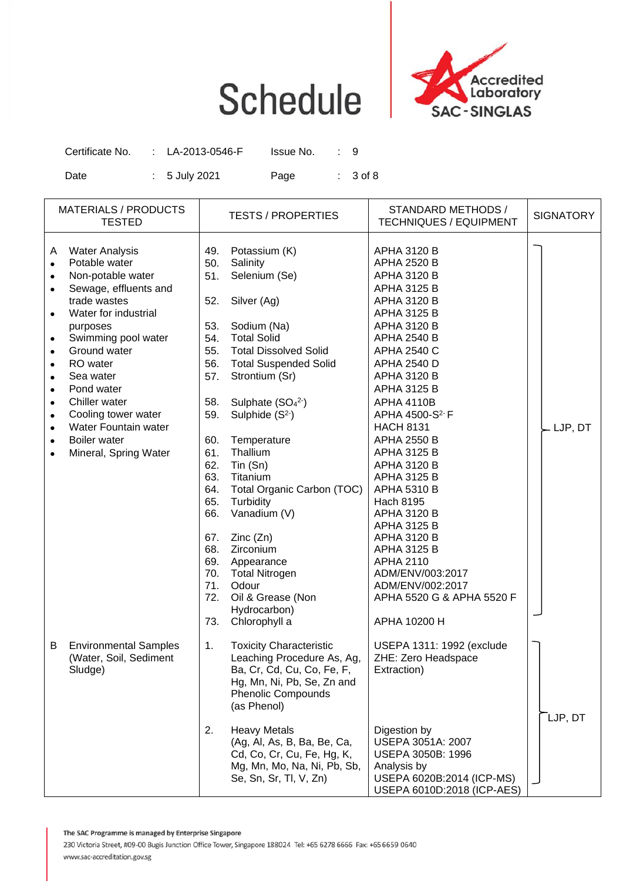

| Certificate No. | : LA-2013-0546-F | Issue No. |            |
|-----------------|------------------|-----------|------------|
| Date            | $: 5$ July 2021  | Page      | $: 3$ of 8 |

|                                                                                                                                                                                         | <b>MATERIALS / PRODUCTS</b><br><b>TESTED</b>                                                                                                                                                                                                                                                                                    |                                                                                                                                                                             | <b>TESTS / PROPERTIES</b>                                                                                                                                                                                                                                                                                                                                                                                                                                                  | STANDARD METHODS /<br><b>TECHNIQUES / EQUIPMENT</b>                                                                                                                                                                                                                                                                                                                                                                                                                                                                                                                                                                                   | <b>SIGNATORY</b>     |
|-----------------------------------------------------------------------------------------------------------------------------------------------------------------------------------------|---------------------------------------------------------------------------------------------------------------------------------------------------------------------------------------------------------------------------------------------------------------------------------------------------------------------------------|-----------------------------------------------------------------------------------------------------------------------------------------------------------------------------|----------------------------------------------------------------------------------------------------------------------------------------------------------------------------------------------------------------------------------------------------------------------------------------------------------------------------------------------------------------------------------------------------------------------------------------------------------------------------|---------------------------------------------------------------------------------------------------------------------------------------------------------------------------------------------------------------------------------------------------------------------------------------------------------------------------------------------------------------------------------------------------------------------------------------------------------------------------------------------------------------------------------------------------------------------------------------------------------------------------------------|----------------------|
| A<br>$\bullet$<br>$\bullet$<br>$\bullet$<br>$\bullet$<br>$\bullet$<br>$\bullet$<br>$\bullet$<br>$\bullet$<br>$\bullet$<br>$\bullet$<br>$\bullet$<br>$\bullet$<br>$\bullet$<br>$\bullet$ | <b>Water Analysis</b><br>Potable water<br>Non-potable water<br>Sewage, effluents and<br>trade wastes<br>Water for industrial<br>purposes<br>Swimming pool water<br>Ground water<br>RO water<br>Sea water<br>Pond water<br>Chiller water<br>Cooling tower water<br>Water Fountain water<br>Boiler water<br>Mineral, Spring Water | 49.<br>50.<br>51.<br>52.<br>53.<br>54.<br>55.<br>56.<br>57.<br>58.<br>59.<br>60.<br>61.<br>62.<br>63.<br>64.<br>65.<br>66.<br>67.<br>68.<br>69.<br>70.<br>71.<br>72.<br>73. | Potassium (K)<br>Salinity<br>Selenium (Se)<br>Silver (Ag)<br>Sodium (Na)<br><b>Total Solid</b><br><b>Total Dissolved Solid</b><br><b>Total Suspended Solid</b><br>Strontium (Sr)<br>Sulphate $(SO42)$<br>Sulphide $(S2)$<br>Temperature<br>Thallium<br>$T$ in $(Sn)$<br>Titanium<br>Total Organic Carbon (TOC)<br>Turbidity<br>Vanadium (V)<br>Zinc(Zn)<br>Zirconium<br>Appearance<br><b>Total Nitrogen</b><br>Odour<br>Oil & Grease (Non<br>Hydrocarbon)<br>Chlorophyll a | <b>APHA 3120 B</b><br><b>APHA 2520 B</b><br><b>APHA 3120 B</b><br><b>APHA 3125 B</b><br><b>APHA 3120 B</b><br><b>APHA 3125 B</b><br><b>APHA 3120 B</b><br><b>APHA 2540 B</b><br><b>APHA 2540 C</b><br>APHA 2540 D<br><b>APHA 3120 B</b><br><b>APHA 3125 B</b><br><b>APHA 4110B</b><br>APHA 4500-S <sup>2-</sup> F<br><b>HACH 8131</b><br><b>APHA 2550 B</b><br><b>APHA 3125 B</b><br>APHA 3120 B<br><b>APHA 3125 B</b><br><b>APHA 5310 B</b><br>Hach 8195<br>APHA 3120 B<br><b>APHA 3125 B</b><br><b>APHA 3120 B</b><br>APHA 3125 B<br>APHA 2110<br>ADM/ENV/003:2017<br>ADM/ENV/002:2017<br>APHA 5520 G & APHA 5520 F<br>APHA 10200 H | $-LJP, DT$           |
| В                                                                                                                                                                                       | <b>Environmental Samples</b><br>(Water, Soil, Sediment<br>Sludge)                                                                                                                                                                                                                                                               | 1.<br>2.                                                                                                                                                                    | <b>Toxicity Characteristic</b><br>Leaching Procedure As, Ag,<br>Ba, Cr, Cd, Cu, Co, Fe, F,<br>Hg, Mn, Ni, Pb, Se, Zn and<br><b>Phenolic Compounds</b><br>(as Phenol)<br><b>Heavy Metals</b><br>(Ag, Al, As, B, Ba, Be, Ca,<br>Cd, Co, Cr, Cu, Fe, Hg, K,<br>Mg, Mn, Mo, Na, Ni, Pb, Sb,<br>Se, Sn, Sr, Tl, V, Zn)                                                                                                                                                          | USEPA 1311: 1992 (exclude<br>ZHE: Zero Headspace<br>Extraction)<br>Digestion by<br>USEPA 3051A: 2007<br>USEPA 3050B: 1996<br>Analysis by<br>USEPA 6020B:2014 (ICP-MS)<br>USEPA 6010D:2018 (ICP-AES)                                                                                                                                                                                                                                                                                                                                                                                                                                   | $\mathsf{T}$ LJP, DT |

The SAC Programme is managed by Enterprise Singapore

230 Victoria Street, #09-00 Bugis Junction Office Tower, Singapore 188024 Tel: +65 6278 6666 Fax: +65 6659 0640 www.sac-accreditation.gov.sg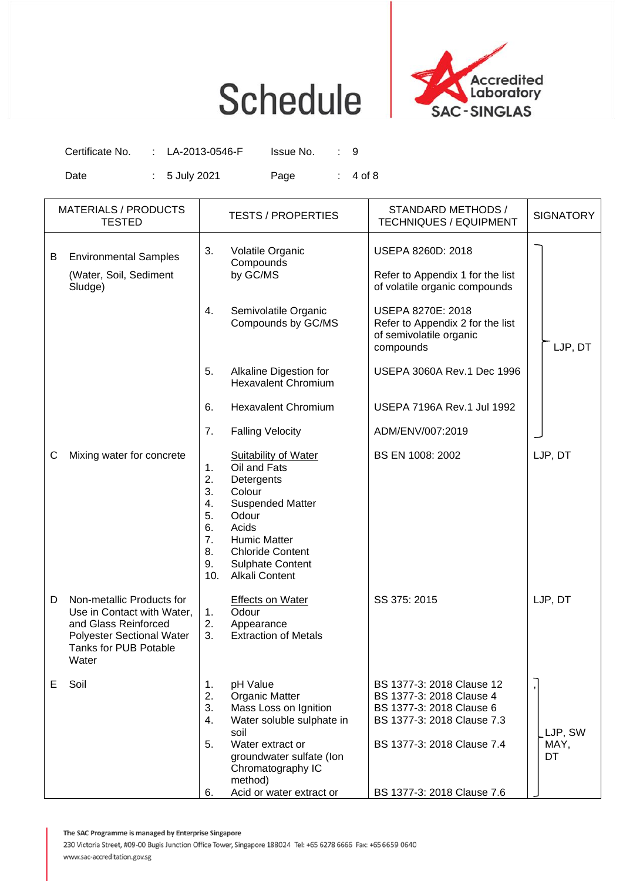

Certificate No. : LA-2013-0546-F Issue No. : 9 Date : 5 July 2021 Page : 4 of 8

|   | <b>MATERIALS / PRODUCTS</b><br><b>TESTED</b>                                                                                                          |                                                           | <b>TESTS / PROPERTIES</b>                                                                                                                                                                                       | STANDARD METHODS /<br><b>TECHNIQUES / EQUIPMENT</b>                                                                                                                         | <b>SIGNATORY</b>      |
|---|-------------------------------------------------------------------------------------------------------------------------------------------------------|-----------------------------------------------------------|-----------------------------------------------------------------------------------------------------------------------------------------------------------------------------------------------------------------|-----------------------------------------------------------------------------------------------------------------------------------------------------------------------------|-----------------------|
| В | <b>Environmental Samples</b><br>(Water, Soil, Sediment<br>Sludge)                                                                                     | 3.                                                        | Volatile Organic<br>Compounds<br>by GC/MS                                                                                                                                                                       | USEPA 8260D: 2018<br>Refer to Appendix 1 for the list<br>of volatile organic compounds                                                                                      |                       |
|   |                                                                                                                                                       | 4.                                                        | Semivolatile Organic<br>Compounds by GC/MS                                                                                                                                                                      | USEPA 8270E: 2018<br>Refer to Appendix 2 for the list<br>of semivolatile organic<br>compounds                                                                               | LJP, DT               |
|   |                                                                                                                                                       | 5.                                                        | Alkaline Digestion for<br><b>Hexavalent Chromium</b>                                                                                                                                                            | USEPA 3060A Rev.1 Dec 1996                                                                                                                                                  |                       |
|   |                                                                                                                                                       | 6.                                                        | <b>Hexavalent Chromium</b>                                                                                                                                                                                      | USEPA 7196A Rev.1 Jul 1992                                                                                                                                                  |                       |
|   |                                                                                                                                                       | 7.                                                        | <b>Falling Velocity</b>                                                                                                                                                                                         | ADM/ENV/007:2019                                                                                                                                                            |                       |
| С | Mixing water for concrete                                                                                                                             | 1.<br>2.<br>3.<br>4.<br>5.<br>6.<br>7.<br>8.<br>9.<br>10. | <b>Suitability of Water</b><br>Oil and Fats<br>Detergents<br>Colour<br><b>Suspended Matter</b><br>Odour<br>Acids<br><b>Humic Matter</b><br><b>Chloride Content</b><br><b>Sulphate Content</b><br>Alkali Content | BS EN 1008: 2002                                                                                                                                                            | LJP, DT               |
| D | Non-metallic Products for<br>Use in Contact with Water,<br>and Glass Reinforced<br><b>Polyester Sectional Water</b><br>Tanks for PUB Potable<br>Water | 1.<br>2.<br>3.                                            | <b>Effects on Water</b><br>Odour<br>Appearance<br><b>Extraction of Metals</b>                                                                                                                                   | SS 375: 2015                                                                                                                                                                | LJP, DT               |
| Е | Soil                                                                                                                                                  | 1.<br>2.<br>3.<br>4.<br>5.<br>6.                          | pH Value<br><b>Organic Matter</b><br>Mass Loss on Ignition<br>Water soluble sulphate in<br>soil<br>Water extract or<br>groundwater sulfate (Ion<br>Chromatography IC<br>method)<br>Acid or water extract or     | BS 1377-3: 2018 Clause 12<br>BS 1377-3: 2018 Clause 4<br>BS 1377-3: 2018 Clause 6<br>BS 1377-3: 2018 Clause 7.3<br>BS 1377-3: 2018 Clause 7.4<br>BS 1377-3: 2018 Clause 7.6 | LJP, SW<br>MAY,<br>DT |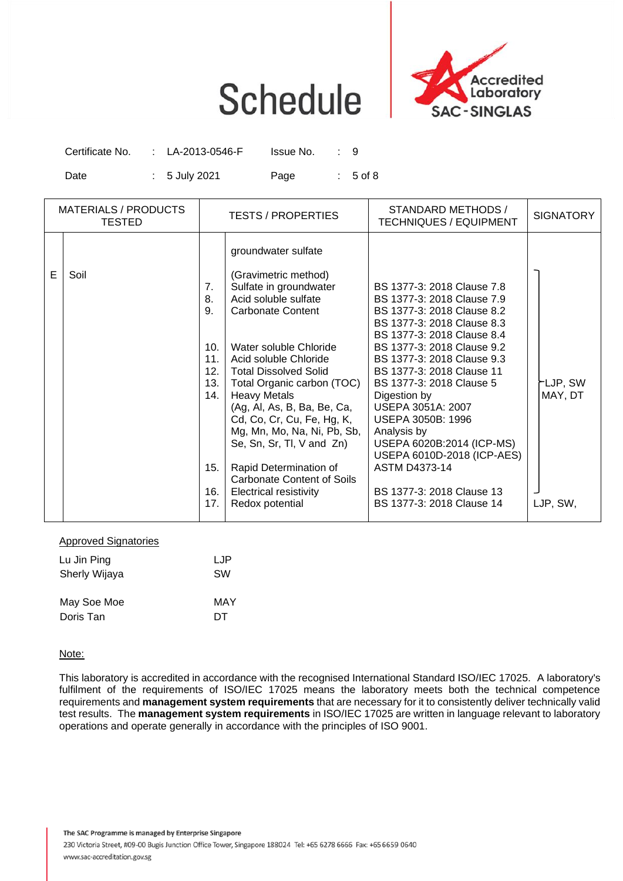

| Certificate No. | : LA-2013-0546-F         | Issue No. |            |
|-----------------|--------------------------|-----------|------------|
| Date            | $\therefore$ 5 July 2021 | Page      | $: 5$ of 8 |

| <b>MATERIALS / PRODUCTS</b><br><b>TESTED</b> | <b>TESTS / PROPERTIES</b>                                                                                                                                                                                                                                                                                                                                                                                                                                                                                                                       | STANDARD METHODS /<br><b>TECHNIQUES / EQUIPMENT</b>                                                                                                                                                                                                                                                                                                                                                                                                              | <b>SIGNATORY</b>    |
|----------------------------------------------|-------------------------------------------------------------------------------------------------------------------------------------------------------------------------------------------------------------------------------------------------------------------------------------------------------------------------------------------------------------------------------------------------------------------------------------------------------------------------------------------------------------------------------------------------|------------------------------------------------------------------------------------------------------------------------------------------------------------------------------------------------------------------------------------------------------------------------------------------------------------------------------------------------------------------------------------------------------------------------------------------------------------------|---------------------|
| Е<br>Soil                                    | groundwater sulfate<br>(Gravimetric method)<br>Sulfate in groundwater<br>7.<br>Acid soluble sulfate<br>8.<br>9.<br><b>Carbonate Content</b><br>10.<br>Water soluble Chloride<br>11.<br>Acid soluble Chloride<br>12.<br><b>Total Dissolved Solid</b><br>13.<br>Total Organic carbon (TOC)<br>14.<br><b>Heavy Metals</b><br>(Ag, Al, As, B, Ba, Be, Ca,<br>Cd, Co, Cr, Cu, Fe, Hg, K,<br>Mg, Mn, Mo, Na, Ni, Pb, Sb,<br>Se, Sn, Sr, Tl, V and Zn)<br>15.<br>Rapid Determination of<br>Carbonate Content of Soils<br>16.<br>Electrical resistivity | BS 1377-3: 2018 Clause 7.8<br>BS 1377-3: 2018 Clause 7.9<br>BS 1377-3: 2018 Clause 8.2<br>BS 1377-3: 2018 Clause 8.3<br>BS 1377-3: 2018 Clause 8.4<br>BS 1377-3: 2018 Clause 9.2<br>BS 1377-3: 2018 Clause 9.3<br>BS 1377-3: 2018 Clause 11<br>BS 1377-3: 2018 Clause 5<br>Digestion by<br>USEPA 3051A: 2007<br>USEPA 3050B: 1996<br>Analysis by<br>USEPA 6020B:2014 (ICP-MS)<br>USEPA 6010D-2018 (ICP-AES)<br><b>ASTM D4373-14</b><br>BS 1377-3: 2018 Clause 13 | ≻LJP, SW<br>MAY, DT |
|                                              | 17.<br>Redox potential                                                                                                                                                                                                                                                                                                                                                                                                                                                                                                                          | BS 1377-3: 2018 Clause 14                                                                                                                                                                                                                                                                                                                                                                                                                                        | LJP, SW,            |

| Approved Signatures |           |
|---------------------|-----------|
| Lu Jin Ping         | LJP       |
| Sherly Wijaya       | <b>SW</b> |
|                     |           |
| May Soe Moe         | MAY       |
| Doris Tan           | DТ        |

Approved Signatories

#### Note:

This laboratory is accredited in accordance with the recognised International Standard ISO/IEC 17025. A laboratory's fulfilment of the requirements of ISO/IEC 17025 means the laboratory meets both the technical competence requirements and **management system requirements** that are necessary for it to consistently deliver technically valid test results. The **management system requirements** in ISO/IEC 17025 are written in language relevant to laboratory operations and operate generally in accordance with the principles of ISO 9001.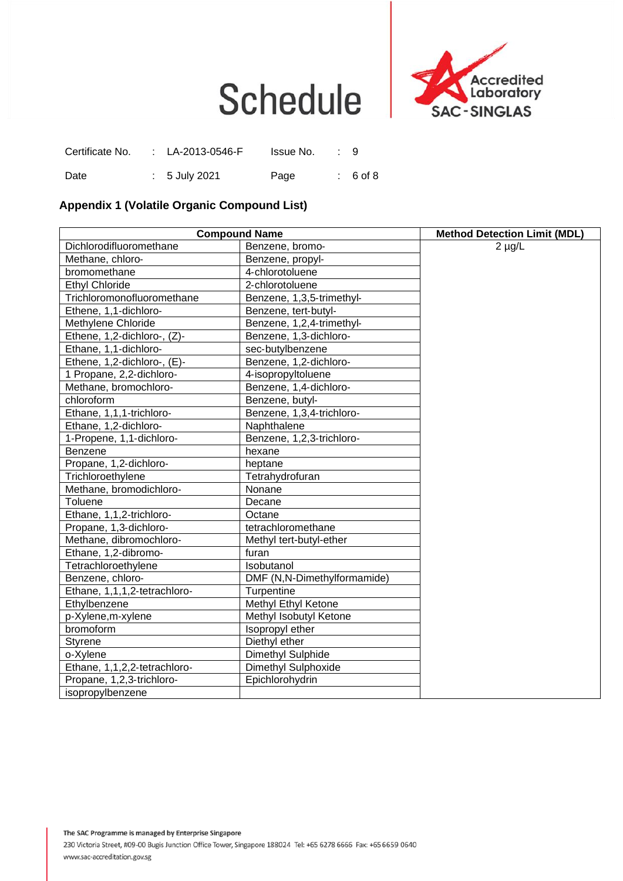



| Certificate No. | : LA-2013-0546-F | Issue No. | : 9        |
|-----------------|------------------|-----------|------------|
| Date            | $: 5$ July 2021  | Page      | $: 6$ of 8 |

#### **Appendix 1 (Volatile Organic Compound List)**

| <b>Compound Name</b>         | <b>Method Detection Limit (MDL)</b> |             |
|------------------------------|-------------------------------------|-------------|
| Dichlorodifluoromethane      | Benzene, bromo-                     | $2 \mu g/L$ |
| Methane, chloro-             | Benzene, propyl-                    |             |
| bromomethane                 | 4-chlorotoluene                     |             |
| <b>Ethyl Chloride</b>        | 2-chlorotoluene                     |             |
| Trichloromonofluoromethane   | Benzene, 1,3,5-trimethyl-           |             |
| Ethene, 1,1-dichloro-        | Benzene, tert-butyl-                |             |
| Methylene Chloride           | Benzene, 1,2,4-trimethyl-           |             |
| Ethene, 1,2-dichloro-, (Z)-  | Benzene, 1,3-dichloro-              |             |
| Ethane, 1,1-dichloro-        | sec-butylbenzene                    |             |
| Ethene, 1,2-dichloro-, (E)-  | Benzene, 1,2-dichloro-              |             |
| 1 Propane, 2,2-dichloro-     | 4-isopropyltoluene                  |             |
| Methane, bromochloro-        | Benzene, 1,4-dichloro-              |             |
| chloroform                   | Benzene, butyl-                     |             |
| Ethane, 1,1,1-trichloro-     | Benzene, 1,3,4-trichloro-           |             |
| Ethane, 1,2-dichloro-        | Naphthalene                         |             |
| 1-Propene, 1,1-dichloro-     | Benzene, 1,2,3-trichloro-           |             |
| Benzene                      | hexane                              |             |
| Propane, 1,2-dichloro-       | heptane                             |             |
| Trichloroethylene            | Tetrahydrofuran                     |             |
| Methane, bromodichloro-      | Nonane                              |             |
| Toluene                      | Decane                              |             |
| Ethane, 1,1,2-trichloro-     | Octane                              |             |
| Propane, 1,3-dichloro-       | tetrachloromethane                  |             |
| Methane, dibromochloro-      | Methyl tert-butyl-ether             |             |
| Ethane, 1,2-dibromo-         | furan                               |             |
| Tetrachloroethylene          | Isobutanol                          |             |
| Benzene, chloro-             | DMF (N,N-Dimethylformamide)         |             |
| Ethane, 1,1,1,2-tetrachloro- | Turpentine                          |             |
| Ethylbenzene                 | Methyl Ethyl Ketone                 |             |
| p-Xylene, m-xylene           | Methyl Isobutyl Ketone              |             |
| bromoform                    | Isopropyl ether                     |             |
| Styrene                      | Diethyl ether                       |             |
| o-Xylene                     | Dimethyl Sulphide                   |             |
| Ethane, 1,1,2,2-tetrachloro- | Dimethyl Sulphoxide                 |             |
| Propane, 1,2,3-trichloro-    | Epichlorohydrin                     |             |
| isopropylbenzene             |                                     |             |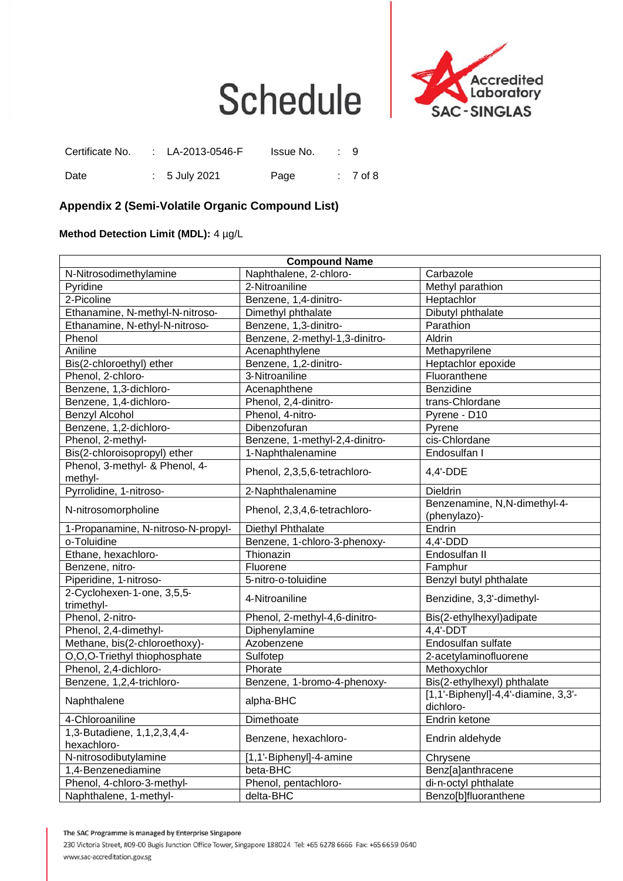

| Certificate No. | : LA-2013-0546-F | Issue No. | : 9        |
|-----------------|------------------|-----------|------------|
| Date            | $: 5$ July 2021  | Page      | $: 7$ of 8 |

#### **Appendix 2 (Semi**‐**Volatile Organic Compound List)**

**Method Detection Limit (MDL):** 4 µg/L

| <b>Compound Name</b>                       |                                |                                                  |  |  |  |
|--------------------------------------------|--------------------------------|--------------------------------------------------|--|--|--|
| N-Nitrosodimethylamine                     | Naphthalene, 2-chloro-         | Carbazole                                        |  |  |  |
| Pyridine                                   | 2-Nitroaniline                 | Methyl parathion                                 |  |  |  |
| 2-Picoline                                 | Benzene, 1,4-dinitro-          | Heptachlor                                       |  |  |  |
| Ethanamine, N-methyl-N-nitroso-            | Dimethyl phthalate             | Dibutyl phthalate                                |  |  |  |
| Ethanamine, N-ethyl-N-nitroso-             | Benzene, 1,3-dinitro-          | Parathion                                        |  |  |  |
| Phenol                                     | Benzene, 2-methyl-1,3-dinitro- | Aldrin                                           |  |  |  |
| Aniline                                    | Acenaphthylene                 | Methapyrilene                                    |  |  |  |
| Bis(2-chloroethyl) ether                   | Benzene, 1,2-dinitro-          | Heptachlor epoxide                               |  |  |  |
| Phenol, 2-chloro-                          | 3-Nitroaniline                 | Fluoranthene                                     |  |  |  |
| Benzene, 1,3-dichloro-                     | Acenaphthene                   | Benzidine                                        |  |  |  |
| Benzene, 1,4-dichloro-                     | Phenol, 2,4-dinitro-           | trans-Chlordane                                  |  |  |  |
| Benzyl Alcohol                             | Phenol, 4-nitro-               | Pyrene - D10                                     |  |  |  |
| Benzene, 1,2-dichloro-                     | Dibenzofuran                   | Pyrene                                           |  |  |  |
| Phenol, 2-methyl-                          | Benzene, 1-methyl-2,4-dinitro- | cis-Chlordane                                    |  |  |  |
| Bis(2-chloroisopropyl) ether               | 1-Naphthalenamine              | Endosulfan I                                     |  |  |  |
| Phenol, 3-methyl- & Phenol, 4-<br>methyl-  | Phenol, 2,3,5,6-tetrachloro-   | 4,4'-DDE                                         |  |  |  |
| Pyrrolidine, 1-nitroso-                    | 2-Naphthalenamine              | Dieldrin                                         |  |  |  |
| N-nitrosomorpholine                        | Phenol, 2,3,4,6-tetrachloro-   | Benzenamine, N,N-dimethyl-4-<br>(phenylazo)-     |  |  |  |
| 1-Propanamine, N-nitroso-N-propyl-         | Diethyl Phthalate              | Endrin                                           |  |  |  |
| o-Toluidine                                | Benzene, 1-chloro-3-phenoxy-   | $4,4'-DDD$                                       |  |  |  |
| Ethane, hexachloro-                        | Thionazin                      | Endosulfan II                                    |  |  |  |
| Benzene, nitro-                            | Fluorene                       | Famphur                                          |  |  |  |
| Piperidine, 1-nitroso-                     | 5-nitro-o-toluidine            | Benzyl butyl phthalate                           |  |  |  |
| 2-Cyclohexen-1-one, 3,5,5-<br>trimethyl-   | 4-Nitroaniline                 | Benzidine, 3,3'-dimethyl-                        |  |  |  |
| Phenol, 2-nitro-                           | Phenol, 2-methyl-4,6-dinitro-  | Bis(2-ethylhexyl)adipate                         |  |  |  |
| Phenol, 2,4-dimethyl-                      | Diphenylamine                  | $4,4'$ -DDT                                      |  |  |  |
| Methane, bis(2-chloroethoxy)-              | Azobenzene                     | Endosulfan sulfate                               |  |  |  |
| O,O,O-Triethyl thiophosphate               | Sulfotep                       | 2-acetylaminofluorene                            |  |  |  |
| Phenol, 2,4-dichloro-                      | Phorate                        | Methoxychlor                                     |  |  |  |
| Benzene, 1,2,4-trichloro-                  | Benzene, 1-bromo-4-phenoxy-    | Bis(2-ethylhexyl) phthalate                      |  |  |  |
| Naphthalene                                | alpha-BHC                      | [1,1'-Biphenyl]-4,4'-diamine, 3,3'-<br>dichloro- |  |  |  |
| 4-Chloroaniline                            | Dimethoate                     | Endrin ketone                                    |  |  |  |
| 1,3-Butadiene, 1,1,2,3,4,4-<br>hexachloro- | Benzene, hexachloro-           | Endrin aldehyde                                  |  |  |  |
| N-nitrosodibutylamine                      | [1,1'-Biphenyl]-4-amine        | Chrysene                                         |  |  |  |
| 1,4-Benzenediamine                         | beta-BHC                       | Benz[a]anthracene                                |  |  |  |
| Phenol, 4-chloro-3-methyl-                 | Phenol, pentachloro-           | di-n-octyl phthalate                             |  |  |  |
| Naphthalene, 1-methyl-                     | delta-BHC                      | Benzo[b]fluoranthene                             |  |  |  |

The SAC Programme is managed by Enterprise Singapore

230 Victoria Street, #09-00 Bugis Junction Office Tower, Singapore 188024 Tel: +65 6278 6666 Fax: +65 6659 0640 www.sac-accreditation.gov.sg